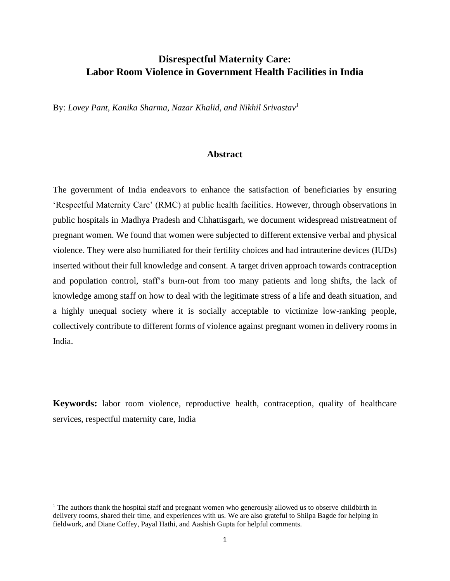# **Disrespectful Maternity Care: Labor Room Violence in Government Health Facilities in India**

By: *Lovey Pant, Kanika Sharma, Nazar Khalid, and Nikhil Srivastav<sup>1</sup>*

## **Abstract**

The government of India endeavors to enhance the satisfaction of beneficiaries by ensuring 'Respectful Maternity Care' (RMC) at public health facilities. However, through observations in public hospitals in Madhya Pradesh and Chhattisgarh, we document widespread mistreatment of pregnant women. We found that women were subjected to different extensive verbal and physical violence. They were also humiliated for their fertility choices and had intrauterine devices (IUDs) inserted without their full knowledge and consent. A target driven approach towards contraception and population control, staff's burn-out from too many patients and long shifts, the lack of knowledge among staff on how to deal with the legitimate stress of a life and death situation, and a highly unequal society where it is socially acceptable to victimize low-ranking people, collectively contribute to different forms of violence against pregnant women in delivery rooms in India.

**Keywords:** labor room violence, reproductive health, contraception, quality of healthcare services, respectful maternity care, India

<sup>&</sup>lt;sup>1</sup> The authors thank the hospital staff and pregnant women who generously allowed us to observe childbirth in delivery rooms, shared their time, and experiences with us. We are also grateful to Shilpa Bagde for helping in fieldwork, and Diane Coffey, Payal Hathi, and Aashish Gupta for helpful comments.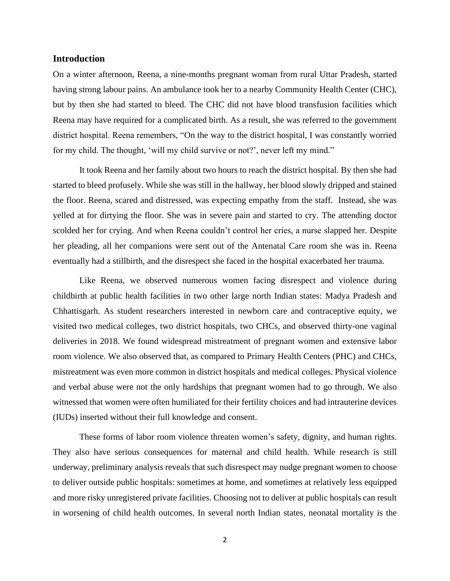## **Introduction**

On a winter afternoon, Reena, a nine-months pregnant woman from rural Uttar Pradesh, started having strong labour pains. An ambulance took her to a nearby Community Health Center (CHC), but by then she had started to bleed. The CHC did not have blood transfusion facilities which Reena may have required for a complicated birth. As a result, she was referred to the government district hospital. Reena remembers, "On the way to the district hospital, I was constantly worried for my child. The thought, 'will my child survive or not?', never left my mind."

It took Reena and her family about two hours to reach the district hospital. By then she had started to bleed profusely. While she was still in the hallway, her blood slowly dripped and stained the floor. Reena, scared and distressed, was expecting empathy from the staff. Instead, she was yelled at for dirtying the floor. She was in severe pain and started to cry. The attending doctor scolded her for crying. And when Reena couldn't control her cries, a nurse slapped her. Despite her pleading, all her companions were sent out of the Antenatal Care room she was in. Reena eventually had a stillbirth, and the disrespect she faced in the hospital exacerbated her trauma.

Like Reena, we observed numerous women facing disrespect and violence during childbirth at public health facilities in two other large north Indian states: Madya Pradesh and Chhattisgarh. As student researchers interested in newborn care and contraceptive equity, we visited two medical colleges, two district hospitals, two CHCs, and observed thirty-one vaginal deliveries in 2018. We found widespread mistreatment of pregnant women and extensive labor room violence. We also observed that, as compared to Primary Health Centers (PHC) and CHCs, mistreatment was even more common in district hospitals and medical colleges. Physical violence and verbal abuse were not the only hardships that pregnant women had to go through. We also witnessed that women were often humiliated for their fertility choices and had intrauterine devices (IUDs) inserted without their full knowledge and consent.

These forms of labor room violence threaten women's safety, dignity, and human rights. They also have serious consequences for maternal and child health. While research is still underway, preliminary analysis reveals that such disrespect may nudge pregnant women to choose to deliver outside public hospitals: sometimes at home, and sometimes at relatively less equipped and more risky unregistered private facilities. Choosing not to deliver at public hospitals can result in worsening of child health outcomes. In several north Indian states, neonatal mortality is the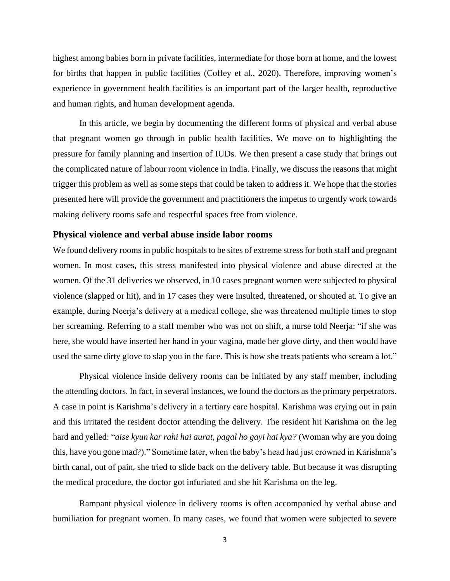highest among babies born in private facilities, intermediate for those born at home, and the lowest for births that happen in public facilities (Coffey et al., 2020). Therefore, improving women's experience in government health facilities is an important part of the larger health, reproductive and human rights, and human development agenda.

In this article, we begin by documenting the different forms of physical and verbal abuse that pregnant women go through in public health facilities. We move on to highlighting the pressure for family planning and insertion of IUDs. We then present a case study that brings out the complicated nature of labour room violence in India. Finally, we discuss the reasons that might trigger this problem as well as some steps that could be taken to address it. We hope that the stories presented here will provide the government and practitioners the impetus to urgently work towards making delivery rooms safe and respectful spaces free from violence.

#### **Physical violence and verbal abuse inside labor rooms**

We found delivery rooms in public hospitals to be sites of extreme stress for both staff and pregnant women. In most cases, this stress manifested into physical violence and abuse directed at the women. Of the 31 deliveries we observed, in 10 cases pregnant women were subjected to physical violence (slapped or hit), and in 17 cases they were insulted, threatened, or shouted at. To give an example, during Neerja's delivery at a medical college, she was threatened multiple times to stop her screaming. Referring to a staff member who was not on shift, a nurse told Neerja: "if she was here, she would have inserted her hand in your vagina, made her glove dirty, and then would have used the same dirty glove to slap you in the face. This is how she treats patients who scream a lot."

Physical violence inside delivery rooms can be initiated by any staff member, including the attending doctors. In fact, in several instances, we found the doctors as the primary perpetrators. A case in point is Karishma's delivery in a tertiary care hospital. Karishma was crying out in pain and this irritated the resident doctor attending the delivery. The resident hit Karishma on the leg hard and yelled: "*aise kyun kar rahi hai aurat, pagal ho gayi hai kya?* (Woman why are you doing this, have you gone mad?)." Sometime later, when the baby's head had just crowned in Karishma's birth canal, out of pain, she tried to slide back on the delivery table. But because it was disrupting the medical procedure, the doctor got infuriated and she hit Karishma on the leg.

Rampant physical violence in delivery rooms is often accompanied by verbal abuse and humiliation for pregnant women. In many cases, we found that women were subjected to severe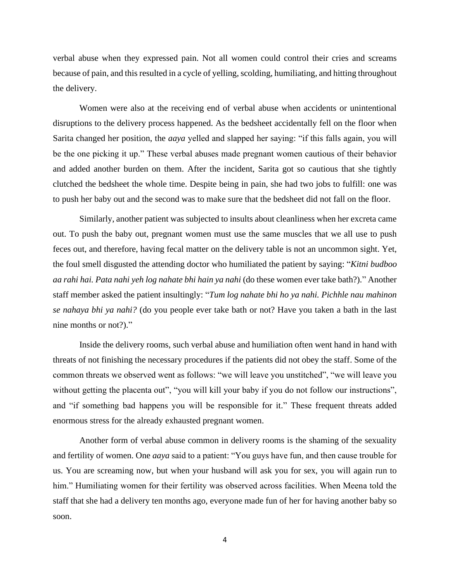verbal abuse when they expressed pain. Not all women could control their cries and screams because of pain, and this resulted in a cycle of yelling, scolding, humiliating, and hitting throughout the delivery.

Women were also at the receiving end of verbal abuse when accidents or unintentional disruptions to the delivery process happened. As the bedsheet accidentally fell on the floor when Sarita changed her position, the *aaya* yelled and slapped her saying: "if this falls again, you will be the one picking it up." These verbal abuses made pregnant women cautious of their behavior and added another burden on them. After the incident, Sarita got so cautious that she tightly clutched the bedsheet the whole time. Despite being in pain, she had two jobs to fulfill: one was to push her baby out and the second was to make sure that the bedsheet did not fall on the floor.

Similarly, another patient was subjected to insults about cleanliness when her excreta came out. To push the baby out, pregnant women must use the same muscles that we all use to push feces out, and therefore, having fecal matter on the delivery table is not an uncommon sight. Yet, the foul smell disgusted the attending doctor who humiliated the patient by saying: "*Kitni budboo aa rahi hai. Pata nahi yeh log nahate bhi hain ya nahi* (do these women ever take bath?)." Another staff member asked the patient insultingly: "*Tum log nahate bhi ho ya nahi. Pichhle nau mahinon se nahaya bhi ya nahi?* (do you people ever take bath or not? Have you taken a bath in the last nine months or not?)."

Inside the delivery rooms, such verbal abuse and humiliation often went hand in hand with threats of not finishing the necessary procedures if the patients did not obey the staff. Some of the common threats we observed went as follows: "we will leave you unstitched", "we will leave you without getting the placenta out", "you will kill your baby if you do not follow our instructions", and "if something bad happens you will be responsible for it." These frequent threats added enormous stress for the already exhausted pregnant women.

Another form of verbal abuse common in delivery rooms is the shaming of the sexuality and fertility of women. One *aaya* said to a patient: "You guys have fun, and then cause trouble for us. You are screaming now, but when your husband will ask you for sex, you will again run to him." Humiliating women for their fertility was observed across facilities. When Meena told the staff that she had a delivery ten months ago, everyone made fun of her for having another baby so soon.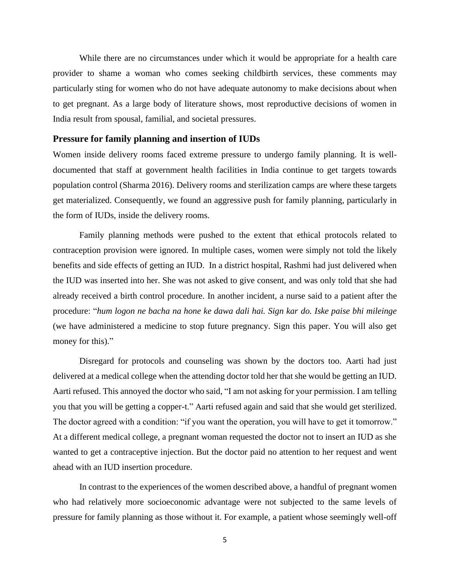While there are no circumstances under which it would be appropriate for a health care provider to shame a woman who comes seeking childbirth services, these comments may particularly sting for women who do not have adequate autonomy to make decisions about when to get pregnant. As a large body of literature shows, most reproductive decisions of women in India result from spousal, familial, and societal pressures.

#### **Pressure for family planning and insertion of IUDs**

Women inside delivery rooms faced extreme pressure to undergo family planning. It is welldocumented that staff at government health facilities in India continue to get targets towards population control (Sharma 2016). Delivery rooms and sterilization camps are where these targets get materialized. Consequently, we found an aggressive push for family planning, particularly in the form of IUDs, inside the delivery rooms.

Family planning methods were pushed to the extent that ethical protocols related to contraception provision were ignored. In multiple cases, women were simply not told the likely benefits and side effects of getting an IUD. In a district hospital, Rashmi had just delivered when the IUD was inserted into her. She was not asked to give consent, and was only told that she had already received a birth control procedure. In another incident, a nurse said to a patient after the procedure: "*hum logon ne bacha na hone ke dawa dali hai. Sign kar do. Iske paise bhi mileinge* (we have administered a medicine to stop future pregnancy. Sign this paper. You will also get money for this)."

Disregard for protocols and counseling was shown by the doctors too. Aarti had just delivered at a medical college when the attending doctor told her that she would be getting an IUD. Aarti refused. This annoyed the doctor who said, "I am not asking for your permission. I am telling you that you will be getting a copper-t." Aarti refused again and said that she would get sterilized. The doctor agreed with a condition: "if you want the operation, you will have to get it tomorrow." At a different medical college, a pregnant woman requested the doctor not to insert an IUD as she wanted to get a contraceptive injection. But the doctor paid no attention to her request and went ahead with an IUD insertion procedure.

In contrast to the experiences of the women described above, a handful of pregnant women who had relatively more socioeconomic advantage were not subjected to the same levels of pressure for family planning as those without it. For example, a patient whose seemingly well-off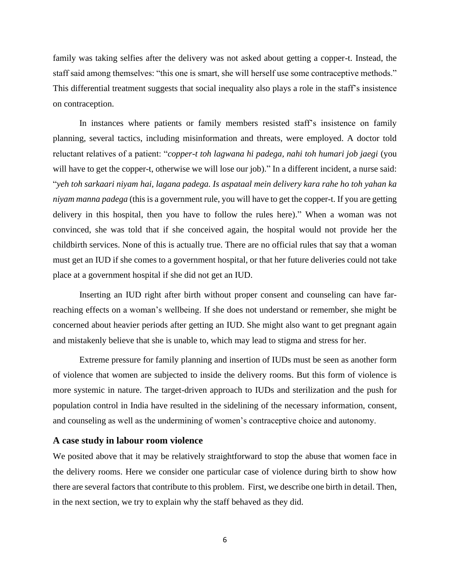family was taking selfies after the delivery was not asked about getting a copper-t. Instead, the staff said among themselves: "this one is smart, she will herself use some contraceptive methods." This differential treatment suggests that social inequality also plays a role in the staff's insistence on contraception.

In instances where patients or family members resisted staff's insistence on family planning, several tactics, including misinformation and threats, were employed. A doctor told reluctant relatives of a patient: "*copper-t toh lagwana hi padega, nahi toh humari job jaegi* (you will have to get the copper-t, otherwise we will lose our job)." In a different incident, a nurse said: "*yeh toh sarkaari niyam hai, lagana padega. Is aspataal mein delivery kara rahe ho toh yahan ka niyam manna padega* (this is a government rule, you will have to get the copper-t. If you are getting delivery in this hospital, then you have to follow the rules here)." When a woman was not convinced, she was told that if she conceived again, the hospital would not provide her the childbirth services. None of this is actually true. There are no official rules that say that a woman must get an IUD if she comes to a government hospital, or that her future deliveries could not take place at a government hospital if she did not get an IUD.

Inserting an IUD right after birth without proper consent and counseling can have farreaching effects on a woman's wellbeing. If she does not understand or remember, she might be concerned about heavier periods after getting an IUD. She might also want to get pregnant again and mistakenly believe that she is unable to, which may lead to stigma and stress for her.

Extreme pressure for family planning and insertion of IUDs must be seen as another form of violence that women are subjected to inside the delivery rooms. But this form of violence is more systemic in nature. The target-driven approach to IUDs and sterilization and the push for population control in India have resulted in the sidelining of the necessary information, consent, and counseling as well as the undermining of women's contraceptive choice and autonomy.

## **A case study in labour room violence**

We posited above that it may be relatively straightforward to stop the abuse that women face in the delivery rooms. Here we consider one particular case of violence during birth to show how there are several factors that contribute to this problem. First, we describe one birth in detail. Then, in the next section, we try to explain why the staff behaved as they did.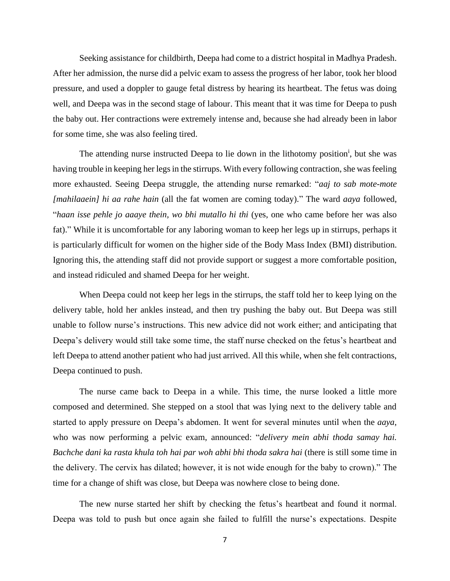Seeking assistance for childbirth, Deepa had come to a district hospital in Madhya Pradesh. After her admission, the nurse did a pelvic exam to assess the progress of her labor, took her blood pressure, and used a doppler to gauge fetal distress by hearing its heartbeat. The fetus was doing well, and Deepa was in the second stage of labour. This meant that it was time for Deepa to push the baby out. Her contractions were extremely intense and, because she had already been in labor for some time, she was also feeling tired.

The attending nurse instructed Deepa to lie down in the lithotomy position<sup>i</sup>, but she was having trouble in keeping her legs in the stirrups. With every following contraction, she was feeling more exhausted. Seeing Deepa struggle, the attending nurse remarked: "*aaj to sab mote-mote [mahilaaein] hi aa rahe hain* (all the fat women are coming today)." The ward *aaya* followed, "*haan isse pehle jo aaaye thein, wo bhi mutallo hi thi* (yes, one who came before her was also fat)." While it is uncomfortable for any laboring woman to keep her legs up in stirrups, perhaps it is particularly difficult for women on the higher side of the Body Mass Index (BMI) distribution. Ignoring this, the attending staff did not provide support or suggest a more comfortable position, and instead ridiculed and shamed Deepa for her weight.

When Deepa could not keep her legs in the stirrups, the staff told her to keep lying on the delivery table, hold her ankles instead, and then try pushing the baby out. But Deepa was still unable to follow nurse's instructions. This new advice did not work either; and anticipating that Deepa's delivery would still take some time, the staff nurse checked on the fetus's heartbeat and left Deepa to attend another patient who had just arrived. All this while, when she felt contractions, Deepa continued to push.

The nurse came back to Deepa in a while. This time, the nurse looked a little more composed and determined. She stepped on a stool that was lying next to the delivery table and started to apply pressure on Deepa's abdomen. It went for several minutes until when the *aaya*, who was now performing a pelvic exam, announced: "*delivery mein abhi thoda samay hai. Bachche dani ka rasta khula toh hai par woh abhi bhi thoda sakra hai* (there is still some time in the delivery. The cervix has dilated; however, it is not wide enough for the baby to crown)." The time for a change of shift was close, but Deepa was nowhere close to being done.

The new nurse started her shift by checking the fetus's heartbeat and found it normal. Deepa was told to push but once again she failed to fulfill the nurse's expectations. Despite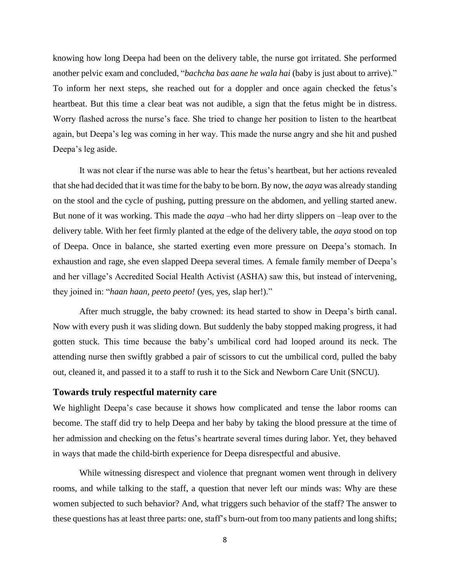knowing how long Deepa had been on the delivery table, the nurse got irritated. She performed another pelvic exam and concluded, "*bachcha bas aane he wala hai* (baby is just about to arrive)." To inform her next steps, she reached out for a doppler and once again checked the fetus's heartbeat. But this time a clear beat was not audible, a sign that the fetus might be in distress. Worry flashed across the nurse's face. She tried to change her position to listen to the heartbeat again, but Deepa's leg was coming in her way. This made the nurse angry and she hit and pushed Deepa's leg aside.

It was not clear if the nurse was able to hear the fetus's heartbeat, but her actions revealed that she had decided that it was time for the baby to be born. By now, the *aaya* was already standing on the stool and the cycle of pushing, putting pressure on the abdomen, and yelling started anew. But none of it was working. This made the *aaya* –who had her dirty slippers on –leap over to the delivery table. With her feet firmly planted at the edge of the delivery table, the *aaya* stood on top of Deepa. Once in balance, she started exerting even more pressure on Deepa's stomach. In exhaustion and rage, she even slapped Deepa several times. A female family member of Deepa's and her village's Accredited Social Health Activist (ASHA) saw this, but instead of intervening, they joined in: "*haan haan, peeto peeto!* (yes, yes, slap her!)."

After much struggle, the baby crowned: its head started to show in Deepa's birth canal. Now with every push it was sliding down. But suddenly the baby stopped making progress, it had gotten stuck. This time because the baby's umbilical cord had looped around its neck. The attending nurse then swiftly grabbed a pair of scissors to cut the umbilical cord, pulled the baby out, cleaned it, and passed it to a staff to rush it to the Sick and Newborn Care Unit (SNCU).

# **Towards truly respectful maternity care**

We highlight Deepa's case because it shows how complicated and tense the labor rooms can become. The staff did try to help Deepa and her baby by taking the blood pressure at the time of her admission and checking on the fetus's heartrate several times during labor. Yet, they behaved in ways that made the child-birth experience for Deepa disrespectful and abusive.

While witnessing disrespect and violence that pregnant women went through in delivery rooms, and while talking to the staff, a question that never left our minds was: Why are these women subjected to such behavior? And, what triggers such behavior of the staff? The answer to these questions has at least three parts: one, staff's burn-out from too many patients and long shifts;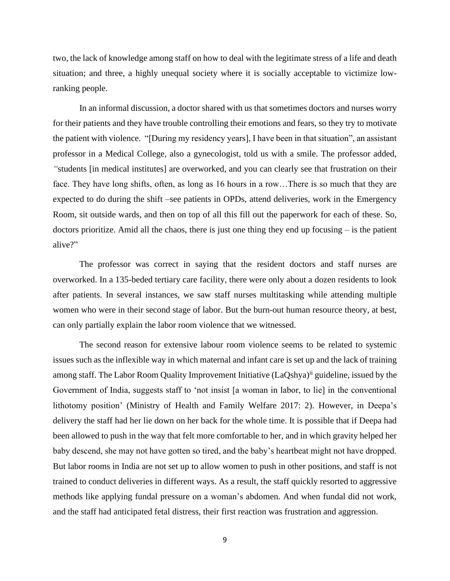two, the lack of knowledge among staff on how to deal with the legitimate stress of a life and death situation; and three, a highly unequal society where it is socially acceptable to victimize lowranking people.

In an informal discussion, a doctor shared with us that sometimes doctors and nurses worry for their patients and they have trouble controlling their emotions and fears, so they try to motivate the patient with violence. "[During my residency years], I have been in that situation", an assistant professor in a Medical College, also a gynecologist, told us with a smile. The professor added, *"*students [in medical institutes] are overworked, and you can clearly see that frustration on their face. They have long shifts, often, as long as 16 hours in a row…There is so much that they are expected to do during the shift –see patients in OPDs, attend deliveries, work in the Emergency Room, sit outside wards, and then on top of all this fill out the paperwork for each of these. So, doctors prioritize. Amid all the chaos, there is just one thing they end up focusing – is the patient alive?"

The professor was correct in saying that the resident doctors and staff nurses are overworked. In a 135-beded tertiary care facility, there were only about a dozen residents to look after patients. In several instances, we saw staff nurses multitasking while attending multiple women who were in their second stage of labor. But the burn-out human resource theory, at best, can only partially explain the labor room violence that we witnessed.

The second reason for extensive labour room violence seems to be related to systemic issues such as the inflexible way in which maternal and infant care is set up and the lack of training among staff. The Labor Room Quality Improvement Initiative (LaQshya)<sup>ii</sup> guideline, issued by the Government of India, suggests staff to 'not insist [a woman in labor, to lie] in the conventional lithotomy position' (Ministry of Health and Family Welfare 2017: 2). However, in Deepa's delivery the staff had her lie down on her back for the whole time. It is possible that if Deepa had been allowed to push in the way that felt more comfortable to her, and in which gravity helped her baby descend, she may not have gotten so tired, and the baby's heartbeat might not have dropped. But labor rooms in India are not set up to allow women to push in other positions, and staff is not trained to conduct deliveries in different ways. As a result, the staff quickly resorted to aggressive methods like applying fundal pressure on a woman's abdomen. And when fundal did not work, and the staff had anticipated fetal distress, their first reaction was frustration and aggression.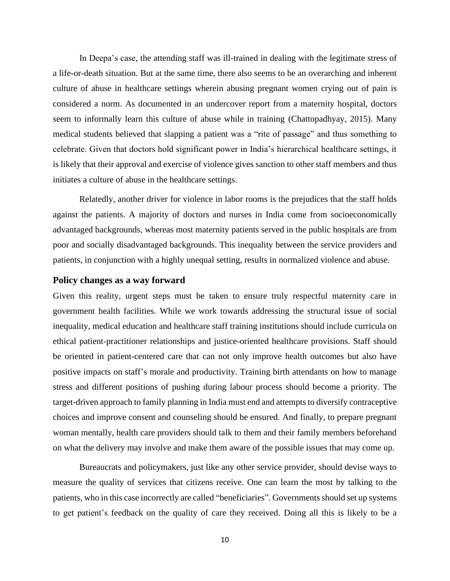In Deepa's case, the attending staff was ill-trained in dealing with the legitimate stress of a life-or-death situation. But at the same time, there also seems to be an overarching and inherent culture of abuse in healthcare settings wherein abusing pregnant women crying out of pain is considered a norm. As documented in an undercover report from a maternity hospital, doctors seem to informally learn this culture of abuse while in training (Chattopadhyay, 2015). Many medical students believed that slapping a patient was a "rite of passage" and thus something to celebrate. Given that doctors hold significant power in India's hierarchical healthcare settings, it is likely that their approval and exercise of violence gives sanction to other staff members and thus initiates a culture of abuse in the healthcare settings.

Relatedly, another driver for violence in labor rooms is the prejudices that the staff holds against the patients. A majority of doctors and nurses in India come from socioeconomically advantaged backgrounds, whereas most maternity patients served in the public hospitals are from poor and socially disadvantaged backgrounds. This inequality between the service providers and patients, in conjunction with a highly unequal setting, results in normalized violence and abuse.

## **Policy changes as a way forward**

Given this reality, urgent steps must be taken to ensure truly respectful maternity care in government health facilities. While we work towards addressing the structural issue of social inequality, medical education and healthcare staff training institutions should include curricula on ethical patient-practitioner relationships and justice-oriented healthcare provisions. Staff should be oriented in patient-centered care that can not only improve health outcomes but also have positive impacts on staff's morale and productivity. Training birth attendants on how to manage stress and different positions of pushing during labour process should become a priority. The target-driven approach to family planning in India must end and attempts to diversify contraceptive choices and improve consent and counseling should be ensured. And finally, to prepare pregnant woman mentally, health care providers should talk to them and their family members beforehand on what the delivery may involve and make them aware of the possible issues that may come up.

Bureaucrats and policymakers, just like any other service provider, should devise ways to measure the quality of services that citizens receive. One can learn the most by talking to the patients, who in this case incorrectly are called "beneficiaries". Governments should set up systems to get patient's feedback on the quality of care they received. Doing all this is likely to be a